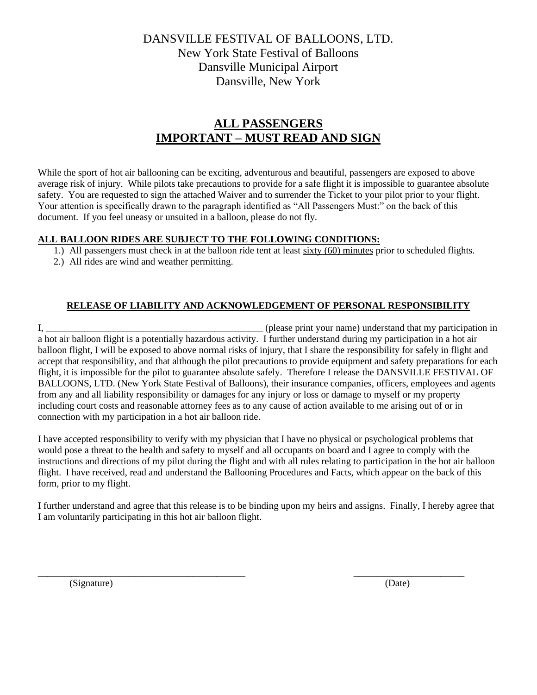## DANSVILLE FESTIVAL OF BALLOONS, LTD. New York State Festival of Balloons Dansville Municipal Airport Dansville, New York

# **ALL PASSENGERS IMPORTANT – MUST READ AND SIGN**

While the sport of hot air ballooning can be exciting, adventurous and beautiful, passengers are exposed to above average risk of injury. While pilots take precautions to provide for a safe flight it is impossible to guarantee absolute safety. You are requested to sign the attached Waiver and to surrender the Ticket to your pilot prior to your flight. Your attention is specifically drawn to the paragraph identified as "All Passengers Must:" on the back of this document. If you feel uneasy or unsuited in a balloon, please do not fly.

#### **ALL BALLOON RIDES ARE SUBJECT TO THE FOLLOWING CONDITIONS:**

- 1.) All passengers must check in at the balloon ride tent at least sixty (60) minutes prior to scheduled flights.
- 2.) All rides are wind and weather permitting.

## **RELEASE OF LIABILITY AND ACKNOWLEDGEMENT OF PERSONAL RESPONSIBILITY**

I, \_\_\_\_\_\_\_\_\_\_\_\_\_\_\_\_\_\_\_\_\_\_\_\_\_\_\_\_\_\_\_\_\_\_\_\_\_\_\_\_\_\_\_\_\_ (please print your name) understand that my participation in a hot air balloon flight is a potentially hazardous activity. I further understand during my participation in a hot air balloon flight, I will be exposed to above normal risks of injury, that I share the responsibility for safely in flight and accept that responsibility, and that although the pilot precautions to provide equipment and safety preparations for each flight, it is impossible for the pilot to guarantee absolute safely. Therefore I release the DANSVILLE FESTIVAL OF BALLOONS, LTD. (New York State Festival of Balloons), their insurance companies, officers, employees and agents from any and all liability responsibility or damages for any injury or loss or damage to myself or my property including court costs and reasonable attorney fees as to any cause of action available to me arising out of or in connection with my participation in a hot air balloon ride.

I have accepted responsibility to verify with my physician that I have no physical or psychological problems that would pose a threat to the health and safety to myself and all occupants on board and I agree to comply with the instructions and directions of my pilot during the flight and with all rules relating to participation in the hot air balloon flight. I have received, read and understand the Ballooning Procedures and Facts, which appear on the back of this form, prior to my flight.

I further understand and agree that this release is to be binding upon my heirs and assigns. Finally, I hereby agree that I am voluntarily participating in this hot air balloon flight.

(Signature) (Date)

 $\overline{\phantom{a}}$  , and the contribution of the contribution of the contribution of the contribution of the contribution of the contribution of the contribution of the contribution of the contribution of the contribution of the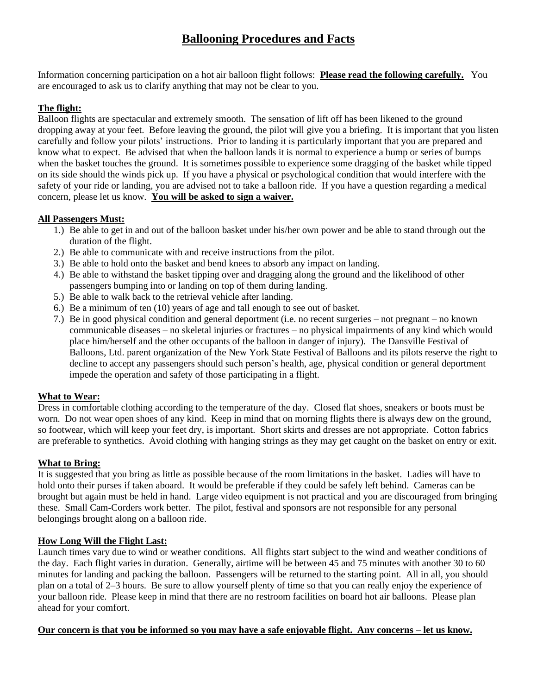## **Ballooning Procedures and Facts**

Information concerning participation on a hot air balloon flight follows: **Please read the following carefully.** You are encouraged to ask us to clarify anything that may not be clear to you.

## **The flight:**

Balloon flights are spectacular and extremely smooth. The sensation of lift off has been likened to the ground dropping away at your feet. Before leaving the ground, the pilot will give you a briefing. It is important that you listen carefully and follow your pilots' instructions. Prior to landing it is particularly important that you are prepared and know what to expect. Be advised that when the balloon lands it is normal to experience a bump or series of bumps when the basket touches the ground. It is sometimes possible to experience some dragging of the basket while tipped on its side should the winds pick up. If you have a physical or psychological condition that would interfere with the safety of your ride or landing, you are advised not to take a balloon ride. If you have a question regarding a medical concern, please let us know. **You will be asked to sign a waiver.**

#### **All Passengers Must:**

- 1.) Be able to get in and out of the balloon basket under his/her own power and be able to stand through out the duration of the flight.
- 2.) Be able to communicate with and receive instructions from the pilot.
- 3.) Be able to hold onto the basket and bend knees to absorb any impact on landing.
- 4.) Be able to withstand the basket tipping over and dragging along the ground and the likelihood of other passengers bumping into or landing on top of them during landing.
- 5.) Be able to walk back to the retrieval vehicle after landing.
- 6.) Be a minimum of ten (10) years of age and tall enough to see out of basket.
- 7.) Be in good physical condition and general deportment (i.e. no recent surgeries not pregnant no known communicable diseases – no skeletal injuries or fractures – no physical impairments of any kind which would place him/herself and the other occupants of the balloon in danger of injury). The Dansville Festival of Balloons, Ltd. parent organization of the New York State Festival of Balloons and its pilots reserve the right to decline to accept any passengers should such person's health, age, physical condition or general deportment impede the operation and safety of those participating in a flight.

#### **What to Wear:**

Dress in comfortable clothing according to the temperature of the day. Closed flat shoes, sneakers or boots must be worn. Do not wear open shoes of any kind. Keep in mind that on morning flights there is always dew on the ground, so footwear, which will keep your feet dry, is important. Short skirts and dresses are not appropriate. Cotton fabrics are preferable to synthetics. Avoid clothing with hanging strings as they may get caught on the basket on entry or exit.

#### **What to Bring:**

It is suggested that you bring as little as possible because of the room limitations in the basket. Ladies will have to hold onto their purses if taken aboard. It would be preferable if they could be safely left behind. Cameras can be brought but again must be held in hand. Large video equipment is not practical and you are discouraged from bringing these. Small Cam-Corders work better. The pilot, festival and sponsors are not responsible for any personal belongings brought along on a balloon ride.

#### **How Long Will the Flight Last:**

Launch times vary due to wind or weather conditions. All flights start subject to the wind and weather conditions of the day. Each flight varies in duration. Generally, airtime will be between 45 and 75 minutes with another 30 to 60 minutes for landing and packing the balloon. Passengers will be returned to the starting point. All in all, you should plan on a total of 2–3 hours. Be sure to allow yourself plenty of time so that you can really enjoy the experience of your balloon ride. Please keep in mind that there are no restroom facilities on board hot air balloons. Please plan ahead for your comfort.

#### **Our concern is that you be informed so you may have a safe enjoyable flight. Any concerns – let us know.**